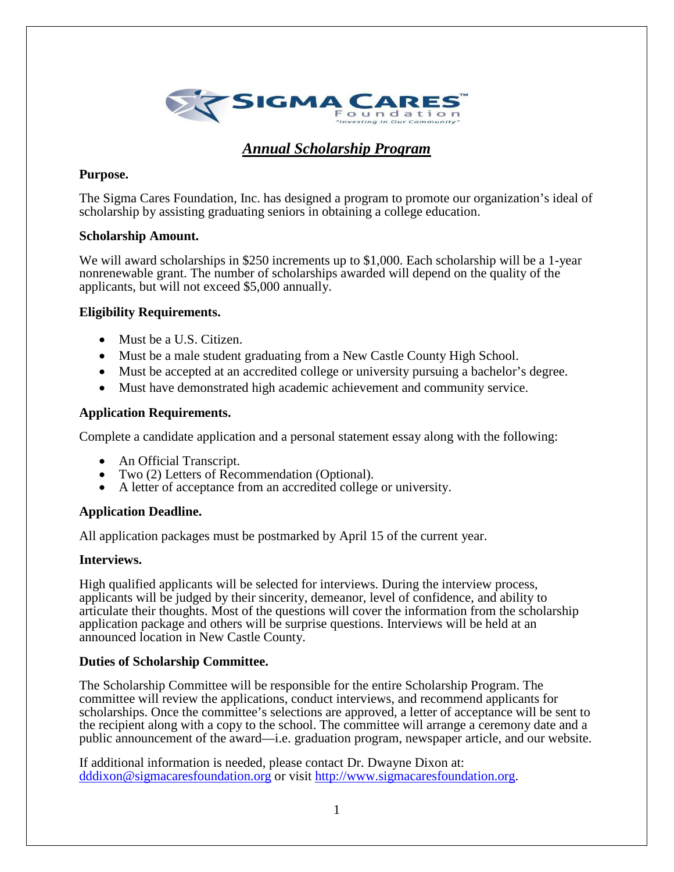

# *Annual Scholarship Program*

## **Purpose.**

The Sigma Cares Foundation, Inc. has designed a program to promote our organization's ideal of scholarship by assisting graduating seniors in obtaining a college education.

## **Scholarship Amount.**

We will award scholarships in \$250 increments up to \$1,000. Each scholarship will be a 1-year nonrenewable grant. The number of scholarships awarded will depend on the quality of the applicants, but will not exceed \$5,000 annually.

## **Eligibility Requirements.**

- Must be a U.S. Citizen.
- Must be a male student graduating from a New Castle County High School.
- Must be accepted at an accredited college or university pursuing a bachelor's degree.
- Must have demonstrated high academic achievement and community service.

### **Application Requirements.**

Complete a candidate application and a personal statement essay along with the following:

- An Official Transcript.
- Two (2) Letters of Recommendation (Optional).
- A letter of acceptance from an accredited college or university.

## **Application Deadline.**

All application packages must be postmarked by April 15 of the current year.

### **Interviews.**

High qualified applicants will be selected for interviews. During the interview process, applicants will be judged by their sincerity, demeanor, level of confidence, and ability to articulate their thoughts. Most of the questions will cover the information from the scholarship application package and others will be surprise questions. Interviews will be held at an announced location in New Castle County.

### **Duties of Scholarship Committee.**

The Scholarship Committee will be responsible for the entire Scholarship Program. The committee will review the applications, conduct interviews, and recommend applicants for scholarships. Once the committee's selections are approved, a letter of acceptance will be sent to the recipient along with a copy to the school. The committee will arrange a ceremony date and a public announcement of the award—i.e. graduation program, newspaper article, and our website.

If additional information is needed, please contact Dr. Dwayne Dixon at: [dddixon@sigmacaresfoundation.org](mailto:dddixon@sigmacaresfoundation.org) or visit [http://www.sigmacaresfoundation.org.](http://www.sigmacaresfoundation.org/)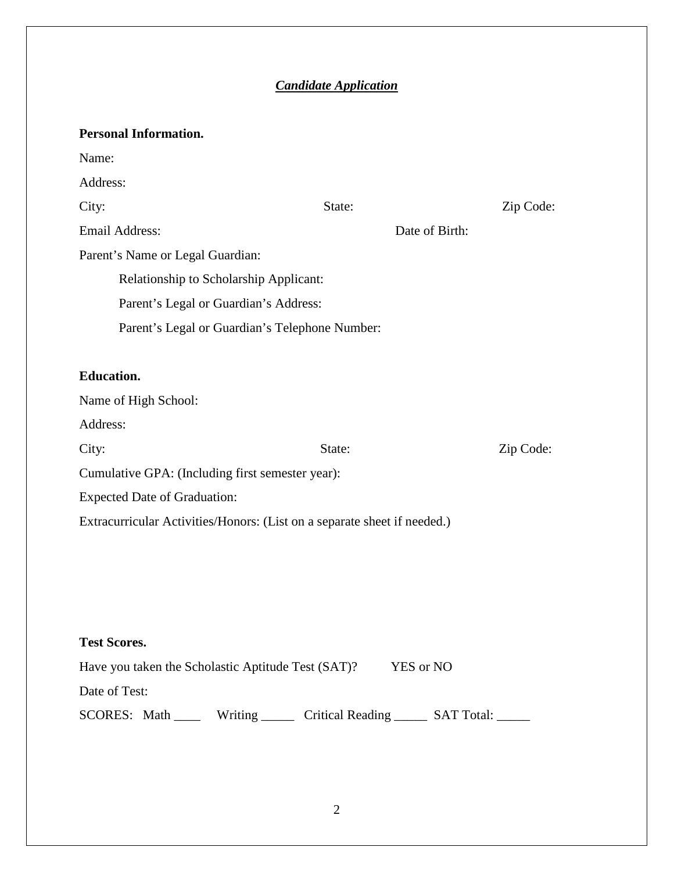# *Candidate Application*

| <b>Personal Information.</b>                                              |                |           |  |
|---------------------------------------------------------------------------|----------------|-----------|--|
| Name:                                                                     |                |           |  |
| Address:                                                                  |                |           |  |
| City:                                                                     | State:         | Zip Code: |  |
| <b>Email Address:</b>                                                     | Date of Birth: |           |  |
| Parent's Name or Legal Guardian:                                          |                |           |  |
| Relationship to Scholarship Applicant:                                    |                |           |  |
| Parent's Legal or Guardian's Address:                                     |                |           |  |
| Parent's Legal or Guardian's Telephone Number:                            |                |           |  |
|                                                                           |                |           |  |
| <b>Education.</b>                                                         |                |           |  |
| Name of High School:                                                      |                |           |  |
| Address:                                                                  |                |           |  |
| City:                                                                     | State:         | Zip Code: |  |
| Cumulative GPA: (Including first semester year):                          |                |           |  |
| <b>Expected Date of Graduation:</b>                                       |                |           |  |
| Extracurricular Activities/Honors: (List on a separate sheet if needed.)  |                |           |  |
|                                                                           |                |           |  |
|                                                                           |                |           |  |
|                                                                           |                |           |  |
|                                                                           |                |           |  |
| <b>Test Scores.</b>                                                       |                |           |  |
| Have you taken the Scholastic Aptitude Test (SAT)?<br>YES or NO           |                |           |  |
| Date of Test:                                                             |                |           |  |
| SCORES: Math _____ Writing ______ Critical Reading _____ SAT Total: _____ |                |           |  |
|                                                                           |                |           |  |
|                                                                           |                |           |  |